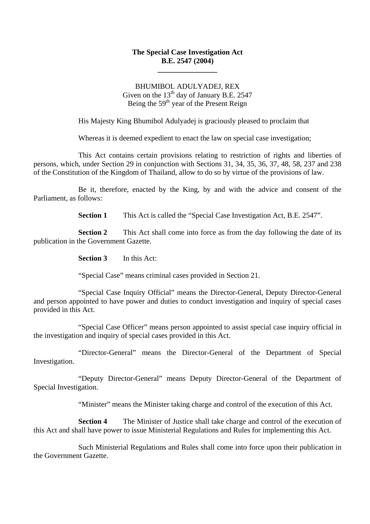#### **The Special Case Investigation Act B.E. 2547 (2004)**

**\_\_\_\_\_\_\_\_\_\_\_\_\_\_\_\_** 

#### BHUMIBOL ADULYADEJ, REX Given on the  $13<sup>th</sup>$  day of January B.E. 2547 Being the  $59<sup>th</sup>$  year of the Present Reign

His Majesty King Bhumibol Adulyadej is graciously pleased to proclaim that

Whereas it is deemed expedient to enact the law on special case investigation;

This Act contains certain provisions relating to restriction of rights and liberties of persons, which, under Section 29 in conjunction with Sections 31, 34, 35, 36, 37, 48, 58, 237 and 238 of the Constitution of the Kingdom of Thailand, allow to do so by virtue of the provisions of law.

Be it, therefore, enacted by the King, by and with the advice and consent of the Parliament, as follows:

**Section 1** This Act is called the "Special Case Investigation Act, B.E. 2547".

**Section 2** This Act shall come into force as from the day following the date of its publication in the Government Gazette.

**Section 3** In this Act:

"Special Case" means criminal cases provided in Section 21.

"Special Case Inquiry Official" means the Director-General, Deputy Director-General and person appointed to have power and duties to conduct investigation and inquiry of special cases provided in this Act.

"Special Case Officer" means person appointed to assist special case inquiry official in the investigation and inquiry of special cases provided in this Act.

"Director-General" means the Director-General of the Department of Special Investigation.

"Deputy Director-General" means Deputy Director-General of the Department of Special Investigation.

"Minister" means the Minister taking charge and control of the execution of this Act.

**Section 4** The Minister of Justice shall take charge and control of the execution of this Act and shall have power to issue Ministerial Regulations and Rules for implementing this Act.

Such Ministerial Regulations and Rules shall come into force upon their publication in the Government Gazette.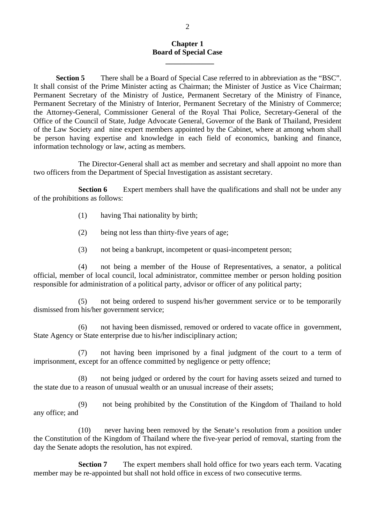#### **Chapter 1 Board of Special Case**

**Section 5** There shall be a Board of Special Case referred to in abbreviation as the "BSC". It shall consist of the Prime Minister acting as Chairman; the Minister of Justice as Vice Chairman; Permanent Secretary of the Ministry of Justice, Permanent Secretary of the Ministry of Finance, Permanent Secretary of the Ministry of Interior, Permanent Secretary of the Ministry of Commerce; the Attorney-General, Commissioner General of the Royal Thai Police, Secretary-General of the Office of the Council of State, Judge Advocate General, Governor of the Bank of Thailand, President of the Law Society and nine expert members appointed by the Cabinet, where at among whom shall be person having expertise and knowledge in each field of economics, banking and finance, information technology or law, acting as members.

The Director-General shall act as member and secretary and shall appoint no more than two officers from the Department of Special Investigation as assistant secretary.

**Section 6** Expert members shall have the qualifications and shall not be under any of the prohibitions as follows:

(1) having Thai nationality by birth;

 **\_\_\_\_\_\_\_\_\_\_\_\_\_** 

- (2) being not less than thirty-five years of age;
- (3) not being a bankrupt, incompetent or quasi-incompetent person;

(4) not being a member of the House of Representatives, a senator, a political official, member of local council, local administrator, committee member or person holding position responsible for administration of a political party, advisor or officer of any political party;

(5) not being ordered to suspend his/her government service or to be temporarily dismissed from his/her government service;

(6) not having been dismissed, removed or ordered to vacate office in government, State Agency or State enterprise due to his/her indisciplinary action;

(7) not having been imprisoned by a final judgment of the court to a term of imprisonment, except for an offence committed by negligence or petty offence;

(8) not being judged or ordered by the court for having assets seized and turned to the state due to a reason of unusual wealth or an unusual increase of their assets;

(9) not being prohibited by the Constitution of the Kingdom of Thailand to hold any office; and

(10) never having been removed by the Senate's resolution from a position under the Constitution of the Kingdom of Thailand where the five-year period of removal, starting from the day the Senate adopts the resolution, has not expired.

**Section 7** The expert members shall hold office for two years each term. Vacating member may be re-appointed but shall not hold office in excess of two consecutive terms.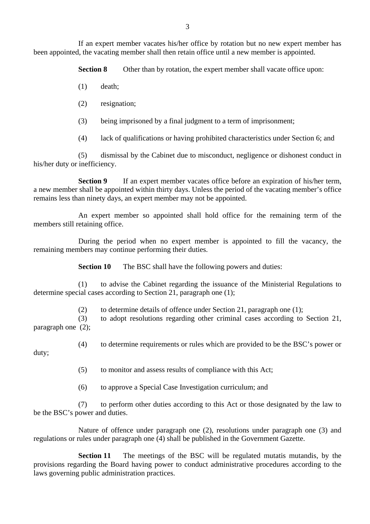If an expert member vacates his/her office by rotation but no new expert member has been appointed, the vacating member shall then retain office until a new member is appointed.

**Section 8** Other than by rotation, the expert member shall vacate office upon:

- (1) death;
- (2) resignation;
- (3) being imprisoned by a final judgment to a term of imprisonment;
- (4) lack of qualifications or having prohibited characteristics under Section 6; and

(5) dismissal by the Cabinet due to misconduct, negligence or dishonest conduct in his/her duty or inefficiency.

**Section 9** If an expert member vacates office before an expiration of his/her term, a new member shall be appointed within thirty days. Unless the period of the vacating member's office remains less than ninety days, an expert member may not be appointed.

An expert member so appointed shall hold office for the remaining term of the members still retaining office.

During the period when no expert member is appointed to fill the vacancy, the remaining members may continue performing their duties.

**Section 10** The BSC shall have the following powers and duties:

(1) to advise the Cabinet regarding the issuance of the Ministerial Regulations to determine special cases according to Section 21, paragraph one (1);

(2) to determine details of offence under Section 21, paragraph one (1);

(3) to adopt resolutions regarding other criminal cases according to Section 21, paragraph one (2);

(4) to determine requirements or rules which are provided to be the BSC's power or

duty;

(5) to monitor and assess results of compliance with this Act;

(6) to approve a Special Case Investigation curriculum; and

(7) to perform other duties according to this Act or those designated by the law to be the BSC's power and duties.

Nature of offence under paragraph one (2), resolutions under paragraph one (3) and regulations or rules under paragraph one (4) shall be published in the Government Gazette.

**Section 11**The meetings of the BSC will be regulated mutatis mutandis, by the provisions regarding the Board having power to conduct administrative procedures according to the laws governing public administration practices.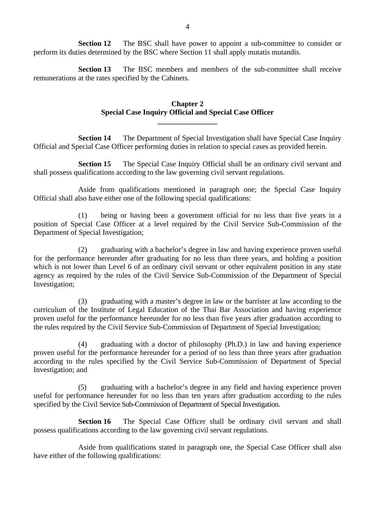**Section 12** The BSC shall have power to appoint a sub-committee to consider or perform its duties determined by the BSC where Section 11 shall apply mutatis mutandis.

**Section 13** The BSC members and members of the sub-committee shall receive remunerations at the rates specified by the Cabinets.

#### **Chapter 2 Special Case Inquiry Official and Special Case Officer**

**\_\_\_\_\_\_\_\_\_\_\_\_\_\_\_\_** 

**Section 14** The Department of Special Investigation shall have Special Case Inquiry Official and Special Case Officer performing duties in relation to special cases as provided herein.

**Section 15** The Special Case Inquiry Official shall be an ordinary civil servant and shall possess qualifications according to the law governing civil servant regulations.

Aside from qualifications mentioned in paragraph one; the Special Case Inquiry Official shall also have either one of the following special qualifications:

(1) being or having been a government official for no less than five years in a position of Special Case Officer at a level required by the Civil Service Sub-Commission of the Department of Special Investigation;

(2) graduating with a bachelor's degree in law and having experience proven useful for the performance hereunder after graduating for no less than three years, and holding a position which is not lower than Level 6 of an ordinary civil servant or other equivalent position in any state agency as required by the rules of the Civil Service Sub-Commission of the Department of Special Investigation;

(3) graduating with a master's degree in law or the barrister at law according to the curriculum of the Institute of Legal Education of the Thai Bar Association and having experience proven useful for the performance hereunder for no less than five years after graduation according to the rules required by the Civil Service Sub-Commission of Department of Special Investigation;

(4) graduating with a doctor of philosophy (Ph.D.) in law and having experience proven useful for the performance hereunder for a period of no less than three years after graduation according to the rules specified by the Civil Service Sub-Commission of Department of Special Investigation; and

(5) graduating with a bachelor's degree in any field and having experience proven useful for performance hereunder for no less than ten years after graduation according to the rules specified by the Civil Service Sub-Commission of Department of Special Investigation.

**Section 16** The Special Case Officer shall be ordinary civil servant and shall possess qualifications according to the law governing civil servant regulations.

Aside from qualifications stated in paragraph one, the Special Case Officer shall also have either of the following qualifications: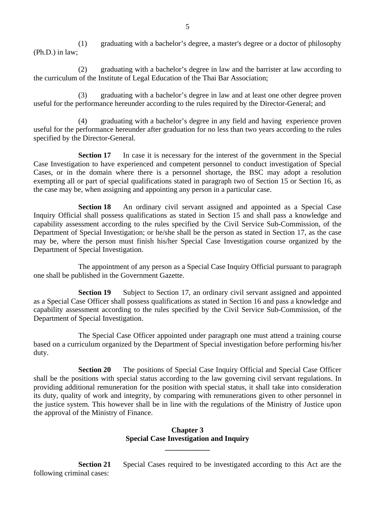(1) graduating with a bachelor's degree, a master's degree or a doctor of philosophy (Ph.D.) in law;

(2) graduating with a bachelor's degree in law and the barrister at law according to the curriculum of the Institute of Legal Education of the Thai Bar Association;

(3) graduating with a bachelor's degree in law and at least one other degree proven useful for the performance hereunder according to the rules required by the Director-General; and

(4) graduating with a bachelor's degree in any field and having experience proven useful for the performance hereunder after graduation for no less than two years according to the rules specified by the Director-General.

**Section 17** In case it is necessary for the interest of the government in the Special Case Investigation to have experienced and competent personnel to conduct investigation of Special Cases, or in the domain where there is a personnel shortage, the BSC may adopt a resolution exempting all or part of special qualifications stated in paragraph two of Section 15 or Section 16, as the case may be, when assigning and appointing any person in a particular case.

**Section 18** An ordinary civil servant assigned and appointed as a Special Case Inquiry Official shall possess qualifications as stated in Section 15 and shall pass a knowledge and capability assessment according to the rules specified by the Civil Service Sub-Commission, of the Department of Special Investigation; or he/she shall be the person as stated in Section 17, as the case may be, where the person must finish his/her Special Case Investigation course organized by the Department of Special Investigation.

The appointment of any person as a Special Case Inquiry Official pursuant to paragraph one shall be published in the Government Gazette.

**Section 19** Subject to Section 17, an ordinary civil servant assigned and appointed as a Special Case Officer shall possess qualifications as stated in Section 16 and pass a knowledge and capability assessment according to the rules specified by the Civil Service Sub-Commission, of the Department of Special Investigation.

The Special Case Officer appointed under paragraph one must attend a training course based on a curriculum organized by the Department of Special investigation before performing his/her duty.

**Section 20** The positions of Special Case Inquiry Official and Special Case Officer shall be the positions with special status according to the law governing civil servant regulations. In providing additional remuneration for the position with special status, it shall take into consideration its duty, quality of work and integrity, by comparing with remunerations given to other personnel in the justice system. This however shall be in line with the regulations of the Ministry of Justice upon the approval of the Ministry of Finance.

#### **Chapter 3 Special Case Investigation and Inquiry**

**\_\_\_\_\_\_\_\_\_\_\_\_** 

**Section 21** Special Cases required to be investigated according to this Act are the following criminal cases: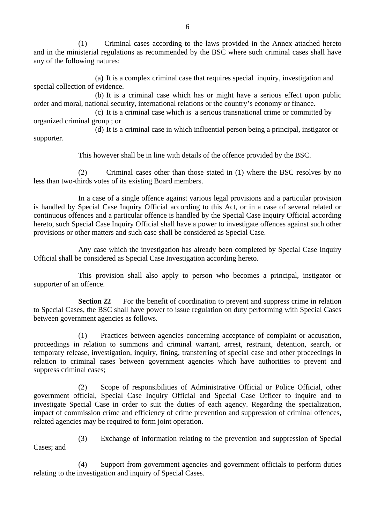(1) Criminal cases according to the laws provided in the Annex attached hereto and in the ministerial regulations as recommended by the BSC where such criminal cases shall have any of the following natures:

(a) It is a complex criminal case that requires special inquiry, investigation and special collection of evidence.

(b) It is a criminal case which has or might have a serious effect upon public order and moral, national security, international relations or the country's economy or finance.

(c) It is a criminal case which is a serious transnational crime or committed by organized criminal group ; or

(d) It is a criminal case in which influential person being a principal, instigator or supporter.

This however shall be in line with details of the offence provided by the BSC.

(2) Criminal cases other than those stated in (1) where the BSC resolves by no less than two-thirds votes of its existing Board members.

In a case of a single offence against various legal provisions and a particular provision is handled by Special Case Inquiry Official according to this Act, or in a case of several related or continuous offences and a particular offence is handled by the Special Case Inquiry Official according hereto, such Special Case Inquiry Official shall have a power to investigate offences against such other provisions or other matters and such case shall be considered as Special Case.

Any case which the investigation has already been completed by Special Case Inquiry Official shall be considered as Special Case Investigation according hereto.

This provision shall also apply to person who becomes a principal, instigator or supporter of an offence.

**Section 22** For the benefit of coordination to prevent and suppress crime in relation to Special Cases, the BSC shall have power to issue regulation on duty performing with Special Cases between government agencies as follows.

(1) Practices between agencies concerning acceptance of complaint or accusation, proceedings in relation to summons and criminal warrant, arrest, restraint, detention, search, or temporary release, investigation, inquiry, fining, transferring of special case and other proceedings in relation to criminal cases between government agencies which have authorities to prevent and suppress criminal cases;

(2) Scope of responsibilities of Administrative Official or Police Official, other government official, Special Case Inquiry Official and Special Case Officer to inquire and to investigate Special Case in order to suit the duties of each agency. Regarding the specialization, impact of commission crime and efficiency of crime prevention and suppression of criminal offences, related agencies may be required to form joint operation.

- Cases; and
- (3) Exchange of information relating to the prevention and suppression of Special

(4) Support from government agencies and government officials to perform duties relating to the investigation and inquiry of Special Cases.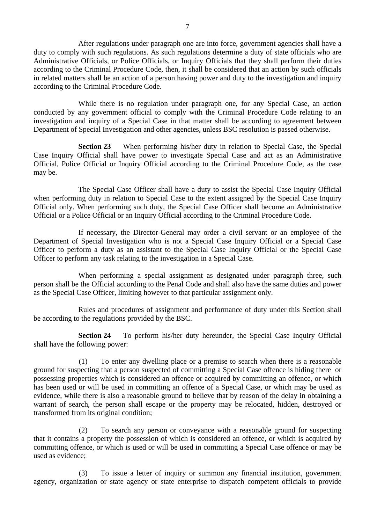After regulations under paragraph one are into force, government agencies shall have a duty to comply with such regulations. As such regulations determine a duty of state officials who are Administrative Officials, or Police Officials, or Inquiry Officials that they shall perform their duties according to the Criminal Procedure Code, then, it shall be considered that an action by such officials in related matters shall be an action of a person having power and duty to the investigation and inquiry according to the Criminal Procedure Code.

While there is no regulation under paragraph one, for any Special Case, an action conducted by any government official to comply with the Criminal Procedure Code relating to an investigation and inquiry of a Special Case in that matter shall be according to agreement between Department of Special Investigation and other agencies, unless BSC resolution is passed otherwise.

**Section 23** When performing his/her duty in relation to Special Case, the Special Case Inquiry Official shall have power to investigate Special Case and act as an Administrative Official, Police Official or Inquiry Official according to the Criminal Procedure Code, as the case may be.

The Special Case Officer shall have a duty to assist the Special Case Inquiry Official when performing duty in relation to Special Case to the extent assigned by the Special Case Inquiry Official only. When performing such duty, the Special Case Officer shall become an Administrative Official or a Police Official or an Inquiry Official according to the Criminal Procedure Code.

If necessary, the Director-General may order a civil servant or an employee of the Department of Special Investigation who is not a Special Case Inquiry Official or a Special Case Officer to perform a duty as an assistant to the Special Case Inquiry Official or the Special Case Officer to perform any task relating to the investigation in a Special Case.

When performing a special assignment as designated under paragraph three, such person shall be the Official according to the Penal Code and shall also have the same duties and power as the Special Case Officer, limiting however to that particular assignment only.

Rules and procedures of assignment and performance of duty under this Section shall be according to the regulations provided by the BSC.

**Section 24** To perform his/her duty hereunder, the Special Case Inquiry Official shall have the following power:

(1) To enter any dwelling place or a premise to search when there is a reasonable ground for suspecting that a person suspected of committing a Special Case offence is hiding there or possessing properties which is considered an offence or acquired by committing an offence, or which has been used or will be used in committing an offence of a Special Case, or which may be used as evidence, while there is also a reasonable ground to believe that by reason of the delay in obtaining a warrant of search, the person shall escape or the property may be relocated, hidden, destroyed or transformed from its original condition;

(2) To search any person or conveyance with a reasonable ground for suspecting that it contains a property the possession of which is considered an offence, or which is acquired by committing offence, or which is used or will be used in committing a Special Case offence or may be used as evidence;

(3) To issue a letter of inquiry or summon any financial institution, government agency, organization or state agency or state enterprise to dispatch competent officials to provide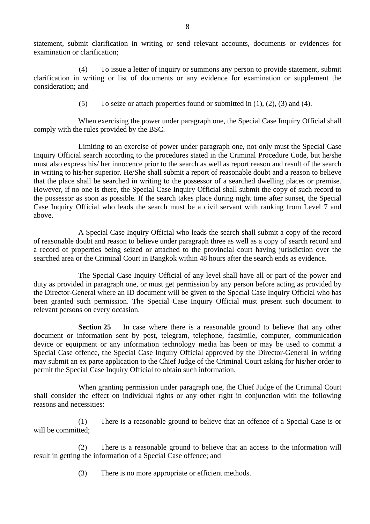statement, submit clarification in writing or send relevant accounts, documents or evidences for examination or clarification;

(4) To issue a letter of inquiry or summons any person to provide statement, submit clarification in writing or list of documents or any evidence for examination or supplement the consideration; and

(5) To seize or attach properties found or submitted in  $(1)$ ,  $(2)$ ,  $(3)$  and  $(4)$ .

 When exercising the power under paragraph one, the Special Case Inquiry Official shall comply with the rules provided by the BSC.

Limiting to an exercise of power under paragraph one, not only must the Special Case Inquiry Official search according to the procedures stated in the Criminal Procedure Code, but he/she must also express his/ her innocence prior to the search as well as report reason and result of the search in writing to his/her superior. He/She shall submit a report of reasonable doubt and a reason to believe that the place shall be searched in writing to the possessor of a searched dwelling places or premise. However, if no one is there, the Special Case Inquiry Official shall submit the copy of such record to the possessor as soon as possible. If the search takes place during night time after sunset, the Special Case Inquiry Official who leads the search must be a civil servant with ranking from Level 7 and above.

A Special Case Inquiry Official who leads the search shall submit a copy of the record of reasonable doubt and reason to believe under paragraph three as well as a copy of search record and a record of properties being seized or attached to the provincial court having jurisdiction over the searched area or the Criminal Court in Bangkok within 48 hours after the search ends as evidence.

The Special Case Inquiry Official of any level shall have all or part of the power and duty as provided in paragraph one, or must get permission by any person before acting as provided by the Director-General where an ID document will be given to the Special Case Inquiry Official who has been granted such permission. The Special Case Inquiry Official must present such document to relevant persons on every occasion.

**Section 25** In case where there is a reasonable ground to believe that any other document or information sent by post, telegram, telephone, facsimile, computer, communication device or equipment or any information technology media has been or may be used to commit a Special Case offence, the Special Case Inquiry Official approved by the Director-General in writing may submit an ex parte application to the Chief Judge of the Criminal Court asking for his/her order to permit the Special Case Inquiry Official to obtain such information.

When granting permission under paragraph one, the Chief Judge of the Criminal Court shall consider the effect on individual rights or any other right in conjunction with the following reasons and necessities:

(1) There is a reasonable ground to believe that an offence of a Special Case is or will be committed:

(2) There is a reasonable ground to believe that an access to the information will result in getting the information of a Special Case offence; and

(3) There is no more appropriate or efficient methods.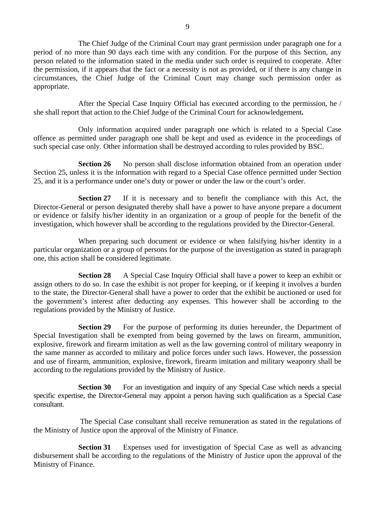The Chief Judge of the Criminal Court may grant permission under paragraph one for a period of no more than 90 days each time with any condition. For the purpose of this Section, any person related to the information stated in the media under such order is required to cooperate. After the permission, if it appears that the fact or a necessity is not as provided, or if there is any change in circumstances, the Chief Judge of the Criminal Court may change such permission order as appropriate.

After the Special Case Inquiry Official has executed according to the permission, he / she shall report that action to the Chief Judge of the Criminal Court for acknowledgement**.**

Only information acquired under paragraph one which is related to a Special Case offence as permitted under paragraph one shall be kept and used as evidence in the proceedings of such special case only. Other information shall be destroyed according to rules provided by BSC.

**Section 26** No person shall disclose information obtained from an operation under Section 25, unless it is the information with regard to a Special Case offence permitted under Section 25, and it is a performance under one's duty or power or under the law or the court's order.

**Section 27** If it is necessary and to benefit the compliance with this Act, the Director-General or person designated thereby shall have a power to have anyone prepare a document or evidence or falsify his/her identity in an organization or a group of people for the benefit of the investigation, which however shall be according to the regulations provided by the Director-General.

When preparing such document or evidence or when falsifying his/her identity in a particular organization or a group of persons for the purpose of the investigation as stated in paragraph one, this action shall be considered legitimate.

**Section 28** A Special Case Inquiry Official shall have a power to keep an exhibit or assign others to do so. In case the exhibit is not proper for keeping, or if keeping it involves a burden to the state, the Director-General shall have a power to order that the exhibit be auctioned or used for the government's interest after deducting any expenses. This however shall be according to the regulations provided by the Ministry of Justice.

**Section 29** For the purpose of performing its duties hereunder, the Department of Special Investigation shall be exempted from being governed by the laws on firearm, ammunition, explosive, firework and firearm imitation as well as the law governing control of military weaponry in the same manner as accorded to military and police forces under such laws. However, the possession and use of firearm, ammunition, explosive, firework, firearm imitation and military weaponry shall be according to the regulations provided by the Ministry of Justice.

**Section 30** For an investigation and inquiry of any Special Case which needs a special specific expertise, the Director-General may appoint a person having such qualification as a Special Case consultant.

 The Special Case consultant shall receive remuneration as stated in the regulations of the Ministry of Justice upon the approval of the Ministry of Finance.

**Section 31** Expenses used for investigation of Special Case as well as advancing disbursement shall be according to the regulations of the Ministry of Justice upon the approval of the Ministry of Finance.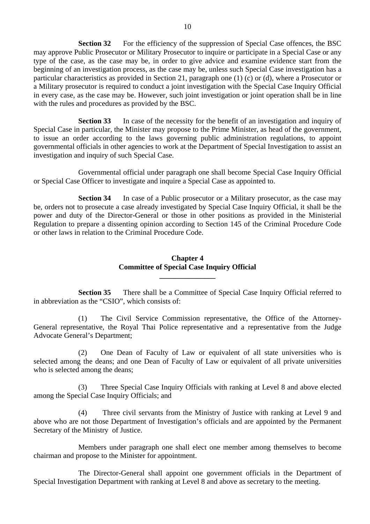**Section 32** For the efficiency of the suppression of Special Case offences, the BSC may approve Public Prosecutor or Military Prosecutor to inquire or participate in a Special Case or any type of the case, as the case may be, in order to give advice and examine evidence start from the beginning of an investigation process, as the case may be, unless such Special Case investigation has a particular characteristics as provided in Section 21, paragraph one (1) (c) or (d), where a Prosecutor or a Military prosecutor is required to conduct a joint investigation with the Special Case Inquiry Official in every case, as the case may be. However, such joint investigation or joint operation shall be in line with the rules and procedures as provided by the BSC.

**Section 33** In case of the necessity for the benefit of an investigation and inquiry of Special Case in particular, the Minister may propose to the Prime Minister, as head of the government, to issue an order according to the laws governing public administration regulations, to appoint governmental officials in other agencies to work at the Department of Special Investigation to assist an investigation and inquiry of such Special Case.

Governmental official under paragraph one shall become Special Case Inquiry Official or Special Case Officer to investigate and inquire a Special Case as appointed to.

**Section 34** In case of a Public prosecutor or a Military prosecutor, as the case may be, orders not to prosecute a case already investigated by Special Case Inquiry Official, it shall be the power and duty of the Director-General or those in other positions as provided in the Ministerial Regulation to prepare a dissenting opinion according to Section 145 of the Criminal Procedure Code or other laws in relation to the Criminal Procedure Code.

#### **Chapter 4 Committee of Special Case Inquiry Official**

**\_\_\_\_\_\_\_\_\_\_\_\_\_\_\_** 

**Section 35** There shall be a Committee of Special Case Inquiry Official referred to in abbreviation as the "CSIO", which consists of:

(1) The Civil Service Commission representative, the Office of the Attorney-General representative, the Royal Thai Police representative and a representative from the Judge Advocate General's Department;

(2) One Dean of Faculty of Law or equivalent of all state universities who is selected among the deans; and one Dean of Faculty of Law or equivalent of all private universities who is selected among the deans;

(3) Three Special Case Inquiry Officials with ranking at Level 8 and above elected among the Special Case Inquiry Officials; and

(4) Three civil servants from the Ministry of Justice with ranking at Level 9 and above who are not those Department of Investigation's officials and are appointed by the Permanent Secretary of the Ministry of Justice.

Members under paragraph one shall elect one member among themselves to become chairman and propose to the Minister for appointment.

The Director-General shall appoint one government officials in the Department of Special Investigation Department with ranking at Level 8 and above as secretary to the meeting.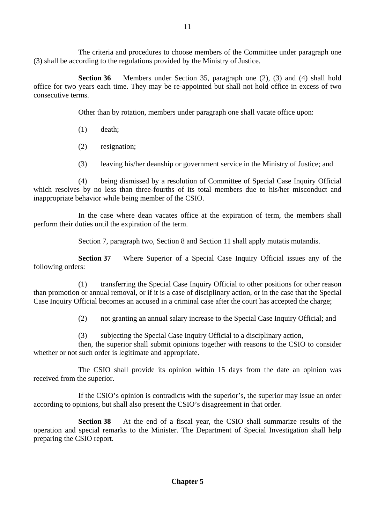The criteria and procedures to choose members of the Committee under paragraph one (3) shall be according to the regulations provided by the Ministry of Justice.

**Section 36** Members under Section 35, paragraph one (2), (3) and (4) shall hold office for two years each time. They may be re-appointed but shall not hold office in excess of two consecutive terms.

Other than by rotation, members under paragraph one shall vacate office upon:

- (1) death;
- (2) resignation;
- (3) leaving his/her deanship or government service in the Ministry of Justice; and

(4) being dismissed by a resolution of Committee of Special Case Inquiry Official which resolves by no less than three-fourths of its total members due to his/her misconduct and inappropriate behavior while being member of the CSIO.

In the case where dean vacates office at the expiration of term, the members shall perform their duties until the expiration of the term.

Section 7, paragraph two, Section 8 and Section 11 shall apply mutatis mutandis.

**Section 37** Where Superior of a Special Case Inquiry Official issues any of the following orders:

(1) transferring the Special Case Inquiry Official to other positions for other reason than promotion or annual removal, or if it is a case of disciplinary action, or in the case that the Special Case Inquiry Official becomes an accused in a criminal case after the court has accepted the charge;

(2) not granting an annual salary increase to the Special Case Inquiry Official; and

(3) subjecting the Special Case Inquiry Official to a disciplinary action,

then, the superior shall submit opinions together with reasons to the CSIO to consider whether or not such order is legitimate and appropriate.

The CSIO shall provide its opinion within 15 days from the date an opinion was received from the superior.

If the CSIO's opinion is contradicts with the superior's, the superior may issue an order according to opinions, but shall also present the CSIO's disagreement in that order.

**Section 38** At the end of a fiscal year, the CSIO shall summarize results of the operation and special remarks to the Minister. The Department of Special Investigation shall help preparing the CSIO report.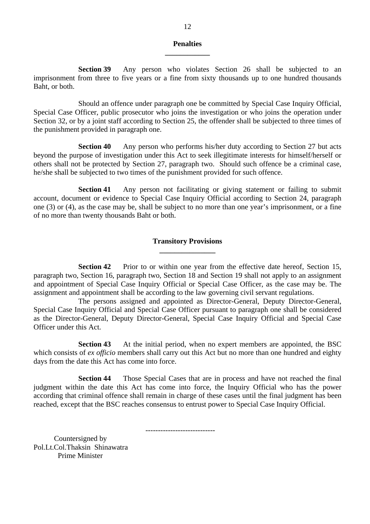#### **Penalties \_\_\_\_\_\_\_\_\_\_\_\_**

**Section 39** Any person who violates Section 26 shall be subjected to an imprisonment from three to five years or a fine from sixty thousands up to one hundred thousands Baht, or both.

Should an offence under paragraph one be committed by Special Case Inquiry Official, Special Case Officer, public prosecutor who joins the investigation or who joins the operation under Section 32, or by a joint staff according to Section 25, the offender shall be subjected to three times of the punishment provided in paragraph one.

**Section 40** Any person who performs his/her duty according to Section 27 but acts beyond the purpose of investigation under this Act to seek illegitimate interests for himself/herself or others shall not be protected by Section 27, paragraph two. Should such offence be a criminal case, he/she shall be subjected to two times of the punishment provided for such offence.

**Section 41** Any person not facilitating or giving statement or failing to submit account, document or evidence to Special Case Inquiry Official according to Section 24, paragraph one (3) or (4), as the case may be, shall be subject to no more than one year's imprisonment, or a fine of no more than twenty thousands Baht or both.

#### **Transitory Provisions \_\_\_\_\_\_\_\_\_\_\_\_\_\_\_**

**Section 42** Prior to or within one year from the effective date hereof, Section 15, paragraph two, Section 16, paragraph two, Section 18 and Section 19 shall not apply to an assignment and appointment of Special Case Inquiry Official or Special Case Officer, as the case may be. The assignment and appointment shall be according to the law governing civil servant regulations.

The persons assigned and appointed as Director-General, Deputy Director-General, Special Case Inquiry Official and Special Case Officer pursuant to paragraph one shall be considered as the Director-General, Deputy Director-General, Special Case Inquiry Official and Special Case Officer under this Act.

**Section 43** At the initial period, when no expert members are appointed, the BSC which consists of *ex officio* members shall carry out this Act but no more than one hundred and eighty days from the date this Act has come into force.

**Section 44** Those Special Cases that are in process and have not reached the final judgment within the date this Act has come into force, the Inquiry Official who has the power according that criminal offence shall remain in charge of these cases until the final judgment has been reached, except that the BSC reaches consensus to entrust power to Special Case Inquiry Official.

----------------------------

 Countersigned by Pol.Lt.Col.Thaksin Shinawatra Prime Minister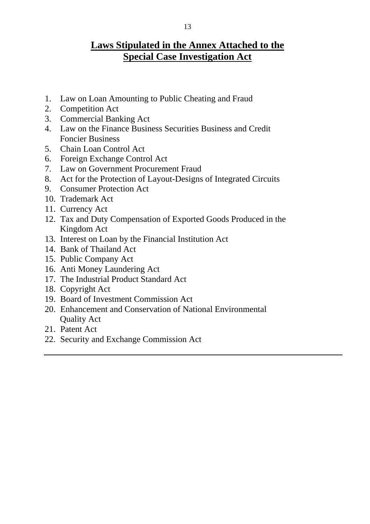## **Laws Stipulated in the Annex Attached to the Special Case Investigation Act**

- 1. Law on Loan Amounting to Public Cheating and Fraud
- 2. Competition Act
- 3. Commercial Banking Act
- 4. Law on the Finance Business Securities Business and Credit Foncier Business
- 5. Chain Loan Control Act
- 6. Foreign Exchange Control Act
- 7. Law on Government Procurement Fraud
- 8. Act for the Protection of Layout-Designs of Integrated Circuits
- 9. Consumer Protection Act
- 10. Trademark Act
- 11. Currency Act
- 12. Tax and Duty Compensation of Exported Goods Produced in the Kingdom Act
- 13. Interest on Loan by the Financial Institution Act
- 14. Bank of Thailand Act
- 15. Public Company Act
- 16. Anti Money Laundering Act
- 17. The Industrial Product Standard Act
- 18. Copyright Act
- 19. Board of Investment Commission Act
- 20. Enhancement and Conservation of National Environmental Quality Act
- 21. Patent Act
- 22. Security and Exchange Commission Act